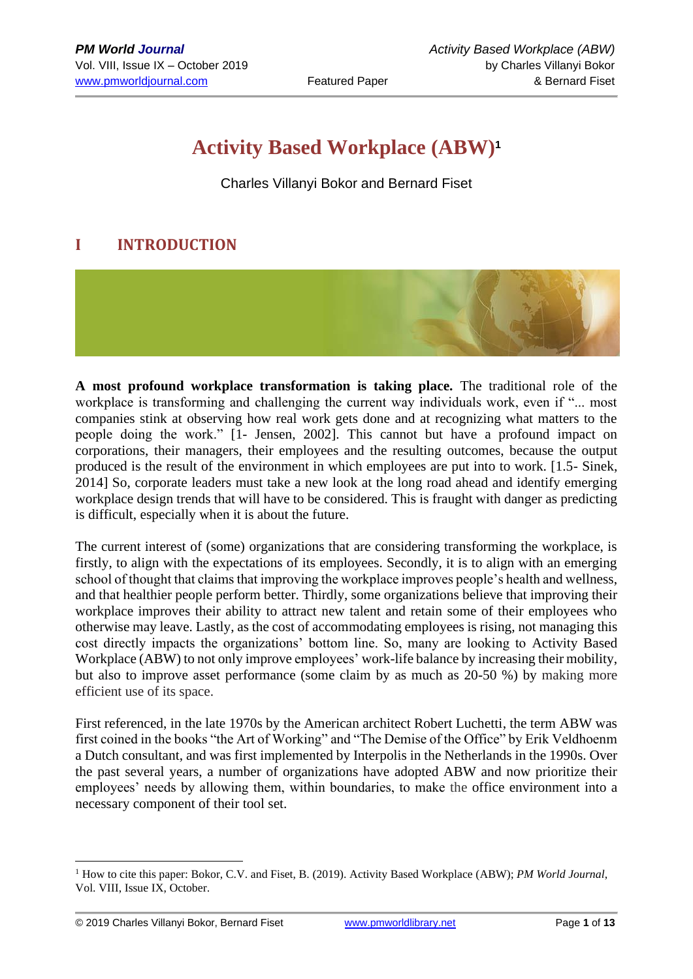# **Activity Based Workplace (ABW)<sup>1</sup>**

Charles Villanyi Bokor and Bernard Fiset

# **I INTRODUCTION**



**A most profound workplace transformation is taking place.** The traditional role of the workplace is transforming and challenging the current way individuals work, even if "... most companies stink at observing how real work gets done and at recognizing what matters to the people doing the work." [1- Jensen, 2002]. This cannot but have a profound impact on corporations, their managers, their employees and the resulting outcomes, because the output produced is the result of the environment in which employees are put into to work. [1.5- Sinek, 2014] So, corporate leaders must take a new look at the long road ahead and identify emerging workplace design trends that will have to be considered. This is fraught with danger as predicting is difficult, especially when it is about the future.

The current interest of (some) organizations that are considering transforming the workplace, is firstly, to align with the expectations of its employees. Secondly, it is to align with an emerging school of thought that claims that improving the workplace improves people's health and wellness, and that healthier people perform better. Thirdly, some organizations believe that improving their workplace improves their ability to attract new talent and retain some of their employees who otherwise may leave. Lastly, as the cost of accommodating employees is rising, not managing this cost directly impacts the organizations' bottom line. So, many are looking to Activity Based Workplace (ABW) to not only improve employees' work-life balance by increasing their mobility, but also to improve asset performance (some claim by as much as 20-50 %) by making more efficient use of its space.

First referenced, in the late 1970s by the American architect Robert Luchetti, the term ABW was first coined in the books "the Art of Working" and "The Demise of the Office" by Erik Veldhoenm a Dutch consultant, and was first implemented by Interpolis in the Netherlands in the 1990s. Over the past several years, a number of organizations have adopted ABW and now prioritize their employees' needs by allowing them, within boundaries, to make the office environment into a necessary component of their tool set.

<sup>1</sup> How to cite this paper: Bokor, C.V. and Fiset, B. (2019). Activity Based Workplace (ABW); *PM World Journal*, Vol. VIII, Issue IX, October.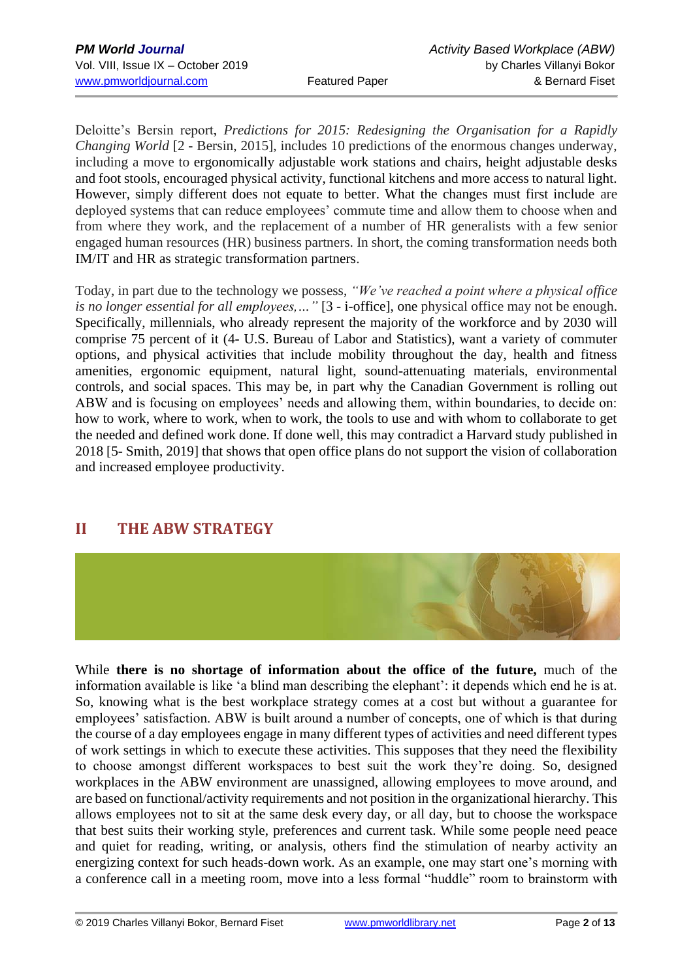[Deloitte's Bersin report,](http://blog.bersin.com/predictions-for-2015-redesigning-the-organization-for-a-rapidly-changing-world/) *Predictions for 2015: Redesigning the Organisation for a Rapidly Changing World* [2 - Bersin, 2015], includes 10 predictions of the enormous changes underway, including a move to ergonomically adjustable work stations and chairs, height adjustable desks and foot stools, encouraged physical activity, functional kitchens and more access to natural light. However, simply different does not equate to better. What the changes must first include are deployed systems that can reduce employees' commute time and allow them to choose when and from where they work, and the replacement of a number of HR generalists with a few senior engaged human resources (HR) business partners. In short, the coming transformation needs both IM/IT and HR as strategic transformation partners.

Today, in part due to the technology we possess, *"We've reached a point where a physical office is no longer essential for all employees,…"* [3 - i-office], one physical office may not be enough. Specifically, millennials, who already represent the majority of the workforce and by 2030 will comprise 75 percent of it (4- U.S. Bureau of Labor and Statistics), want a variety of commuter options, and physical activities that include mobility throughout the day, health and fitness amenities, ergonomic equipment, natural light, sound-attenuating materials, environmental controls, and social spaces. This may be, in part why the Canadian Government is rolling out ABW and is focusing on employees' needs and allowing them, within boundaries, to decide on: how to work, where to work, when to work, the tools to use and with whom to collaborate to get the needed and defined work done. If done well, this may contradict a Harvard study published in 2018 [5- Smith, 2019] that shows that open office plans do not support the vision of collaboration and increased employee productivity.

# **II THE ABW STRATEGY**



While **there is no shortage of information about the office of the future,** much of the information available is like 'a blind man describing the elephant': it depends which end he is at. So, knowing what is the best workplace strategy comes at a cost but without a guarantee for employees' satisfaction. ABW is built around a number of concepts, one of which is that during the course of a day employees engage in many different types of activities and need different types of work settings in which to execute these activities. This supposes that they need the flexibility to choose amongst different workspaces to best suit the work they're doing. So, designed workplaces in the ABW environment are unassigned, allowing employees to move around, and are based on functional/activity requirements and not position in the organizational hierarchy. This allows employees not to sit at the same desk every day, or all day, but to choose the workspace that best suits their working style, preferences and current task. While some people need peace and quiet for reading, writing, or analysis, others find the stimulation of nearby activity an energizing context for such heads-down work. As an example, one may start one's morning with a conference call in a meeting room, move into a less formal "huddle" room to brainstorm with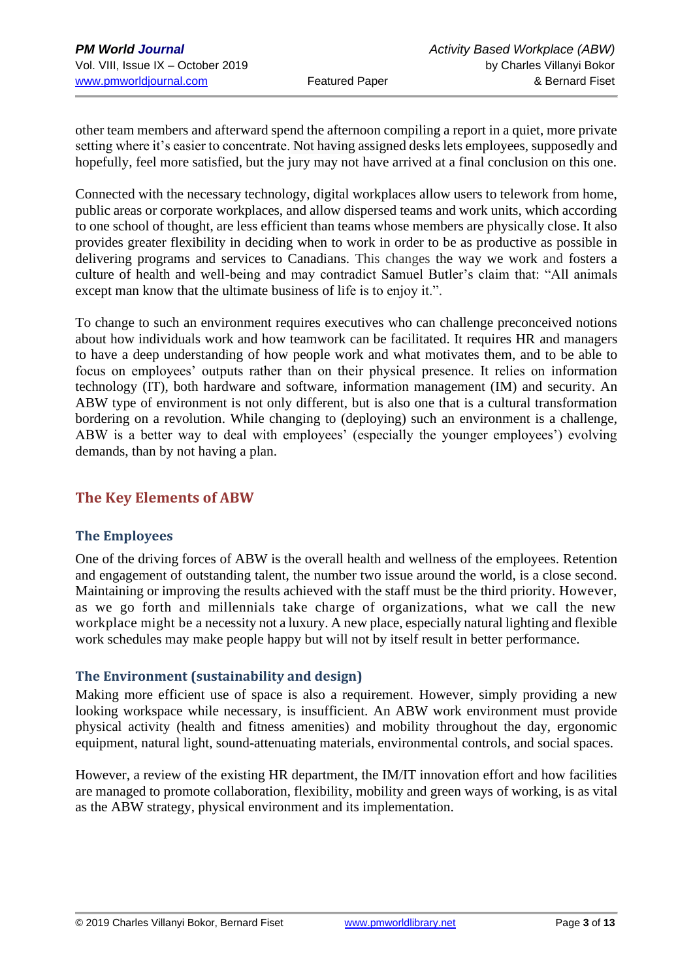other team members and afterward spend the afternoon compiling a report in a quiet, more private setting where it's easier to concentrate. Not having assigned desks lets employees, supposedly and hopefully, feel more satisfied, but the jury may not have arrived at a final conclusion on this one.

Connected with the necessary technology, digital workplaces allow users to telework from home, public areas or corporate workplaces, and allow dispersed teams and work units, which according to one school of thought, are less efficient than teams whose members are physically close. It also provides greater flexibility in deciding when to work in order to be as productive as possible in delivering programs and services to Canadians. This changes the way we work and fosters a culture of health and well-being and may contradict Samuel Butler's claim that: "All animals except man know that the ultimate business of life is to enjoy it.".

To change to such an environment requires executives who can challenge preconceived notions about how individuals work and how teamwork can be facilitated. It requires HR and managers to have a deep understanding of how people work and what motivates them, and to be able to focus on employees' outputs rather than on their physical presence. It relies on information technology (IT), both hardware and software, information management (IM) and security. An ABW type of environment is not only different, but is also one that is a cultural transformation bordering on a revolution. While changing to (deploying) such an environment is a challenge, ABW is a better way to deal with employees' (especially the younger employees') evolving demands, than by not having a plan.

### **The Key Elements of ABW**

### **The Employees**

One of the driving forces of ABW is the overall health and wellness of the employees. Retention and engagement of outstanding talent, the number two issue around the world, is a close second. Maintaining or improving the results achieved with the staff must be the third priority. However, as we go forth and millennials take charge of organizations, what we call the new workplace might be a necessity not a luxury. A new place, especially natural lighting and flexible work schedules may make people happy but will not by itself result in better performance.

### **The Environment (sustainability and design)**

Making more efficient use of space is also a requirement. However, simply providing a new looking workspace while necessary, is insufficient. An ABW work environment must provide physical activity (health and fitness amenities) and mobility throughout the day, ergonomic equipment, natural light, sound-attenuating materials, environmental controls, and social spaces.

However, a review of the existing HR department, the IM/IT innovation effort and how facilities are managed to promote collaboration, flexibility, mobility and green ways of working, is as vital as the ABW strategy, physical environment and its implementation.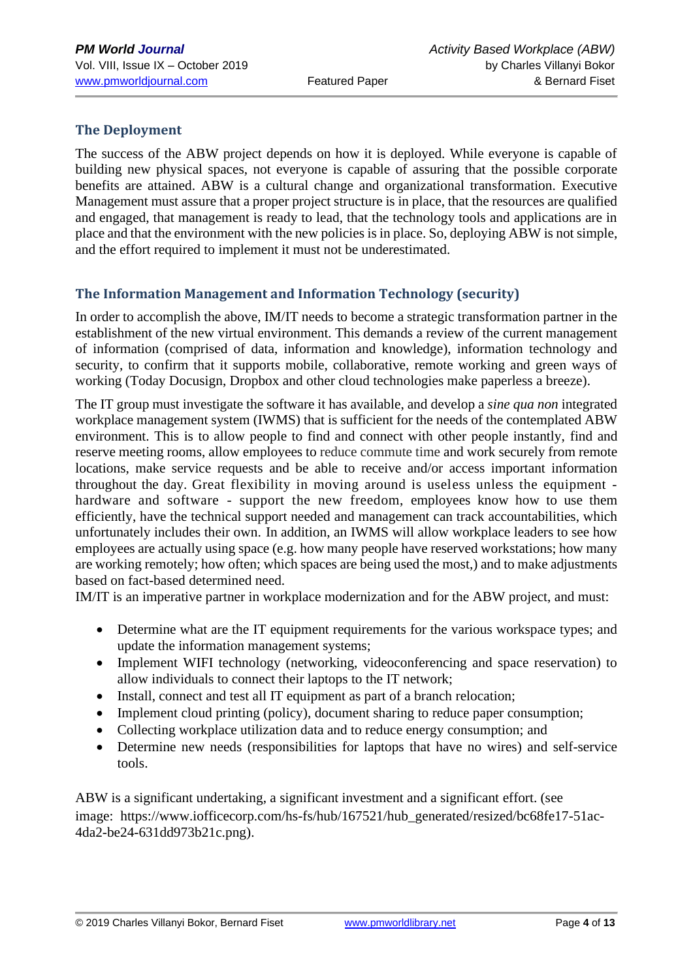### **The Deployment**

The success of the ABW project depends on how it is deployed. While everyone is capable of building new physical spaces, not everyone is capable of assuring that the possible corporate benefits are attained. ABW is a cultural change and organizational transformation. Executive Management must assure that a proper project structure is in place, that the resources are qualified and engaged, that management is ready to lead, that the technology tools and applications are in place and that the environment with the new policies is in place. So, deploying ABW is not simple, and the effort required to implement it must not be underestimated.

### **The Information Management and Information Technology (security)**

In order to accomplish the above, IM/IT needs to become a strategic transformation partner in the establishment of the new virtual environment. This demands a review of the current management of information (comprised of data, information and knowledge), information technology and security, to confirm that it supports mobile, collaborative, remote working and green ways of working (Today Docusign, Dropbox and other cloud technologies make paperless a breeze).

The IT group must investigate the software it has available, and develop a *[sine qua non](https://www.iofficecorp.com/integrated-workplace-management-system)* integrated [workplace management system \(IWMS\)](https://www.iofficecorp.com/integrated-workplace-management-system) that is sufficient for the needs of the contemplated ABW environment. This is to allow people to find and connect with other people instantly, find and reserve meeting rooms, allow employees to reduce commute time and work securely from remote locations, make service requests and be able to receive and/or access important information throughout the day. Great flexibility in moving around is useless unless the equipment hardware and software - support the new freedom, employees know how to use them efficiently, have the technical support needed and management can track accountabilities, which unfortunately includes their own. In addition, an IWMS will allow workplace leaders to see how employees are actually using space (e.g. how many people have reserved workstations; how many are working remotely; how often; which spaces are being used the most,) and to make adjustments based on fact-based determined need.

IM/IT is an imperative partner in workplace modernization and for the ABW project, and must:

- Determine what are the IT equipment requirements for the various workspace types; and update the information management systems;
- Implement WIFI technology (networking, videoconferencing and space reservation) to allow individuals to connect their laptops to the IT network;
- Install, connect and test all IT equipment as part of a branch relocation;
- Implement cloud printing (policy), document sharing to reduce paper consumption;
- Collecting workplace utilization data and to reduce energy consumption; and
- Determine new needs (responsibilities for laptops that have no wires) and self-service tools.

ABW is a significant undertaking, a significant investment and a significant effort. (see image: [https://www.iofficecorp.com/hs-fs/hub/167521/hub\\_generated/resized/bc68fe17-51ac-](https://www.iofficecorp.com/hs-fs/hub/167521/hub_generated/resized/bc68fe17-51ac-4da2-be24-631dd973b21c.png)[4da2-be24-631dd973b21c.png\)](https://www.iofficecorp.com/hs-fs/hub/167521/hub_generated/resized/bc68fe17-51ac-4da2-be24-631dd973b21c.png).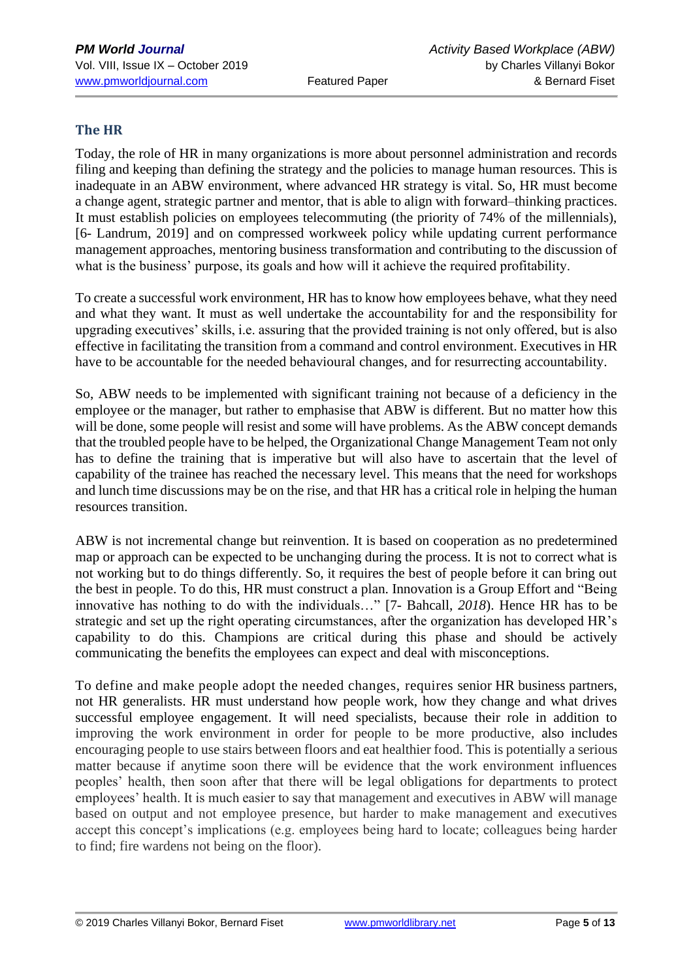### **The HR**

Today, the role of HR in many organizations is more about personnel administration and records filing and keeping than defining the strategy and the policies to manage human resources. This is inadequate in an ABW environment, where advanced HR strategy is vital. So, HR must become a change agent, strategic partner and mentor, that is able to align with forward–thinking practices. It must establish policies on employees telecommuting (the priority of 74% of the millennials), [6- Landrum, 2019] and on compressed workweek policy while updating current performance management approaches, mentoring business transformation and contributing to the discussion of what is the business' purpose, its goals and how will it achieve the required profitability.

To create a successful work environment, HR has to know how employees behave, what they need and what they want. It must as well undertake the accountability for and the responsibility for upgrading executives' skills, i.e. assuring that the provided training is not only offered, but is also effective in facilitating the transition from a command and control environment. Executives in HR have to be accountable for the needed behavioural changes, and for resurrecting accountability.

So, ABW needs to be implemented with significant training not because of a deficiency in the employee or the manager, but rather to emphasise that ABW is different. But no matter how this will be done, some people will resist and some will have problems. As the ABW concept demands that the troubled people have to be helped, the Organizational Change Management Team not only has to define the training that is imperative but will also have to ascertain that the level of capability of the trainee has reached the necessary level. This means that the need for workshops and lunch time discussions may be on the rise, and that HR has a critical role in helping the human resources transition.

ABW is not incremental change but reinvention. It is based on cooperation as no predetermined map or approach can be expected to be unchanging during the process. It is not to correct what is not working but to do things differently. So, it requires the best of people before it can bring out the best in people. To do this, HR must construct a plan. Innovation is a Group Effort and "Being innovative has nothing to do with the individuals…" [7- Bahcall, *2018*). Hence HR has to be strategic and set up the right operating circumstances, after the organization has developed HR's capability to do this. Champions are critical during this phase and should be actively communicating the benefits the employees can expect and deal with misconceptions.

To define and make people adopt the needed changes, requires senior HR business partners, not HR generalists. HR must understand how people work, how they change and what drives successful employee engagement. It will need specialists, because their role in addition to improving the work environment in order for people to be more productive, also includes encouraging people to use stairs between floors and eat healthier food. This is potentially a serious matter because if anytime soon there will be evidence that the work environment influences peoples' health, then soon after that there will be legal obligations for departments to protect employees' health. It is much easier to say that management and executives in ABW will manage based on output and not employee presence, but harder to make management and executives accept this concept's implications (e.g. employees being hard to locate; colleagues being harder to find; fire wardens not being on the floor).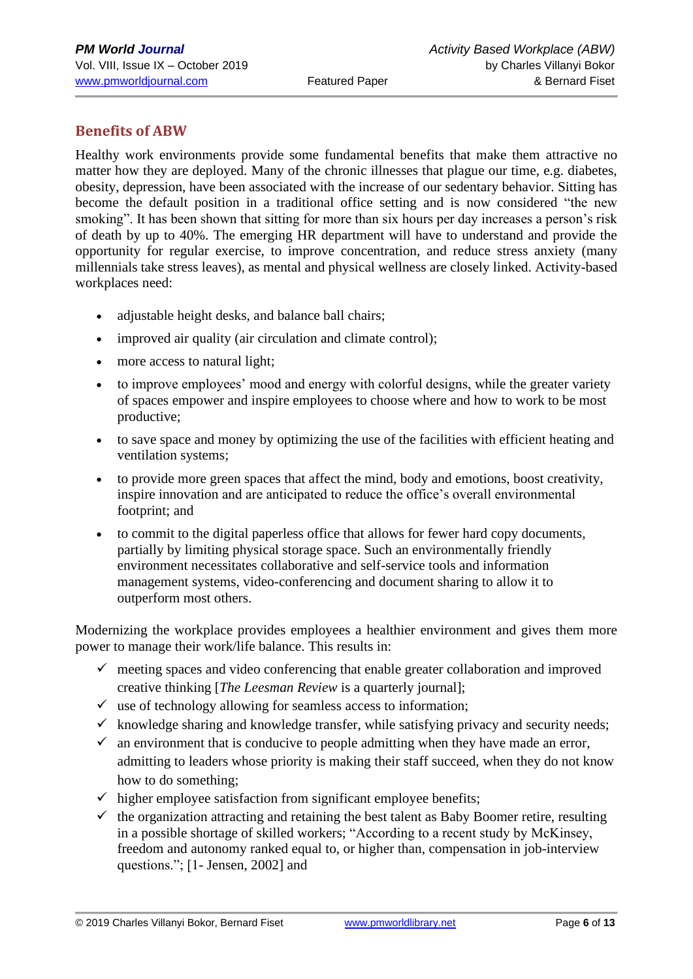## **Benefits of ABW**

Healthy work environments provide some fundamental benefits that make them attractive no matter how they are deployed. Many of the chronic illnesses that plague our time, e.g. diabetes, obesity, depression, have been associated with the increase of our sedentary behavior. Sitting has become the default position in a traditional office setting and is now considered "the new smoking". It has been shown that sitting for more than six hours per day increases a person's risk of death by up to 40%. The emerging HR department will have to understand and provide the opportunity for regular exercise, to improve concentration, and reduce stress anxiety (many millennials take stress leaves), as mental and physical wellness are closely linked. Activity-based workplaces need:

- adjustable height desks, and balance ball chairs;
- improved air quality (air circulation and climate control);
- more access to natural light;
- to improve employees' mood and energy with colorful designs, while the greater variety of spaces empower and inspire employees to choose where and how to work to be most productive;
- to save space and money by optimizing the use of the facilities with efficient heating and ventilation systems;
- to provide more green spaces that affect the mind, body and emotions, boost creativity, inspire innovation and are anticipated to reduce the office's overall environmental footprint; and
- to commit to the digital paperless office that allows for fewer hard copy documents, partially by limiting physical storage space. Such an environmentally friendly environment necessitates collaborative and self-service tools and information management systems, video-conferencing and document sharing to allow it to outperform most others.

Modernizing the workplace provides employees a healthier environment and gives them more power to manage their work/life balance. This results in:

- $\checkmark$  meeting spaces and video conferencing that enable greater collaboration and improved creative thinking [*The Leesman Review* is a quarterly journal];
- $\checkmark$  use of technology allowing for seamless access to information;
- $\checkmark$  knowledge sharing and knowledge transfer, while satisfying privacy and security needs;
- $\checkmark$  an environment that is conducive to people admitting when they have made an error, admitting to leaders whose priority is making their staff succeed, when they do not know how to do something;
- $\checkmark$  higher employee satisfaction from significant employee benefits;
- $\checkmark$  the organization attracting and retaining the best talent as Baby Boomer retire, resulting in a possible shortage of skilled workers; "According to a recent study by McKinsey, freedom and autonomy ranked equal to, or higher than, compensation in job-interview questions."; [1- Jensen, 2002] and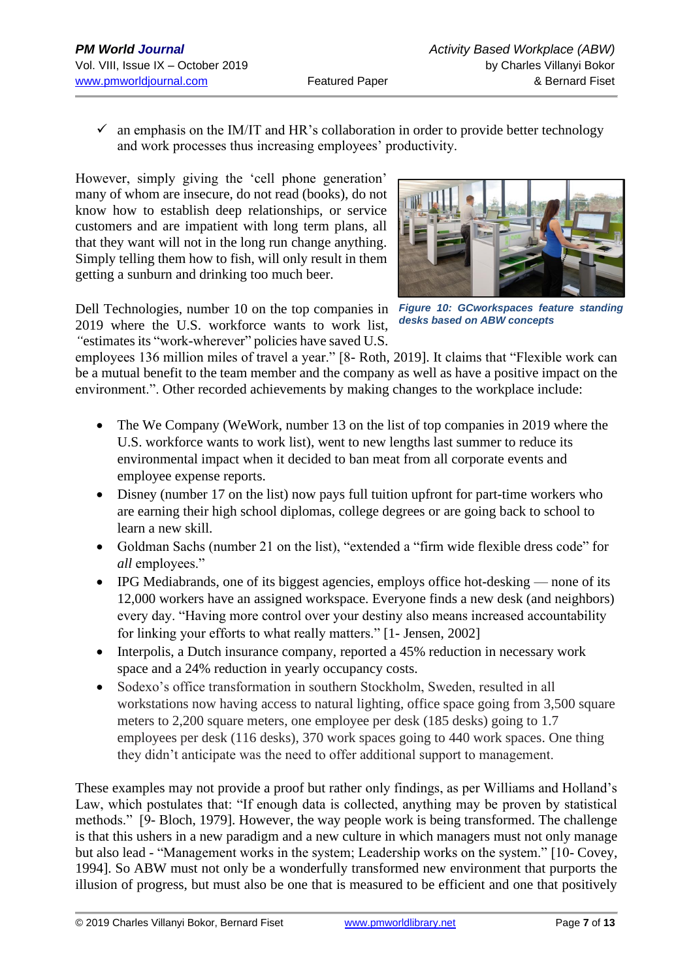$\checkmark$  an emphasis on the IM/IT and HR's collaboration in order to provide better technology and work processes thus increasing employees' productivity.

However, simply giving the 'cell phone generation' many of whom are insecure, do not read (books), do not know how to establish deep relationships, or service customers and are impatient with long term plans, all that they want will not in the long run change anything. Simply telling them how to fish, will only result in them getting a sunburn and drinking too much beer.

Dell Technologies, number 10 on the top companies in *Figure 10: GCworkspaces feature standing*  2019 where the U.S. workforce wants to work list, *"*estimates its ["work-wherever"](https://jobs.dell.com/work-flexibility) policies have saved U.S.



*desks based on ABW concepts*

employees 136 million miles of travel a year." [8- Roth, 2019]. It claims that "Flexible work can be a mutual benefit to the team member and the company as well as have a positive impact on the environment.". Other recorded achievements by making changes to the workplace include:

- The We Company (WeWork, number 13 on the list of top companies in 2019 where the U.S. workforce wants to work list), went to new lengths last summer to reduce its environmental impact when it decided to ban [meat](https://www.nytimes.com/2018/07/20/business/wework-vegetarian.html) from all corporate events and employee expense reports.
- Disney [\(number](https://www.benefitnews.com/list/50-companies-that-made-big-benefits-changes-in-2018) 17 on the list) now pays full tuition upfront for part-time workers who are earning their high school diplomas, college degrees or are going back to school to learn a new skill.
- Goldman Sachs (number 21 on the list), "extended a "firm wide [flexible](https://www.reuters.com/article/us-world-work-goldman-sachs-idUSKCN1QM283) dress code" for *all* employees."
- IPG Mediabrands, one of its biggest agencies, employs office [hot-desking](https://www.ipgmediabrands.com/ad-agencies-new-office-hack-sit-wherever-want/) none of its 12,000 workers have an assigned workspace. Everyone finds a new desk (and neighbors) every day. "Having more control over your destiny also means increased accountability for linking your efforts to what really matters." [1- Jensen, 2002]
- Interpolis, a Dutch insurance company, reported a 45% reduction in necessary work space and a 24% reduction in yearly occupancy costs.
- Sodexo's office transformation in southern Stockholm, Sweden, resulted in all workstations now having access to natural lighting, office space going from 3,500 square meters to 2,200 square meters, one employee per desk (185 desks) going to 1.7 employees per desk (116 desks), 370 work spaces going to 440 work spaces. One thing they didn't anticipate was the need to offer additional support to management.

These examples may not provide a proof but rather only findings, as per Williams and Holland's Law, which postulates that: "If enough data is collected, anything may be proven by statistical methods." [9- Bloch, 1979]. However, the way people work is being transformed. The challenge is that this ushers in a new paradigm and a new culture in which managers must not only manage but also lead - "Management works in the system; Leadership works on the system." [10- Covey, 1994]. So ABW must not only be a wonderfully transformed new environment that purports the illusion of progress, but must also be one that is measured to be efficient and one that positively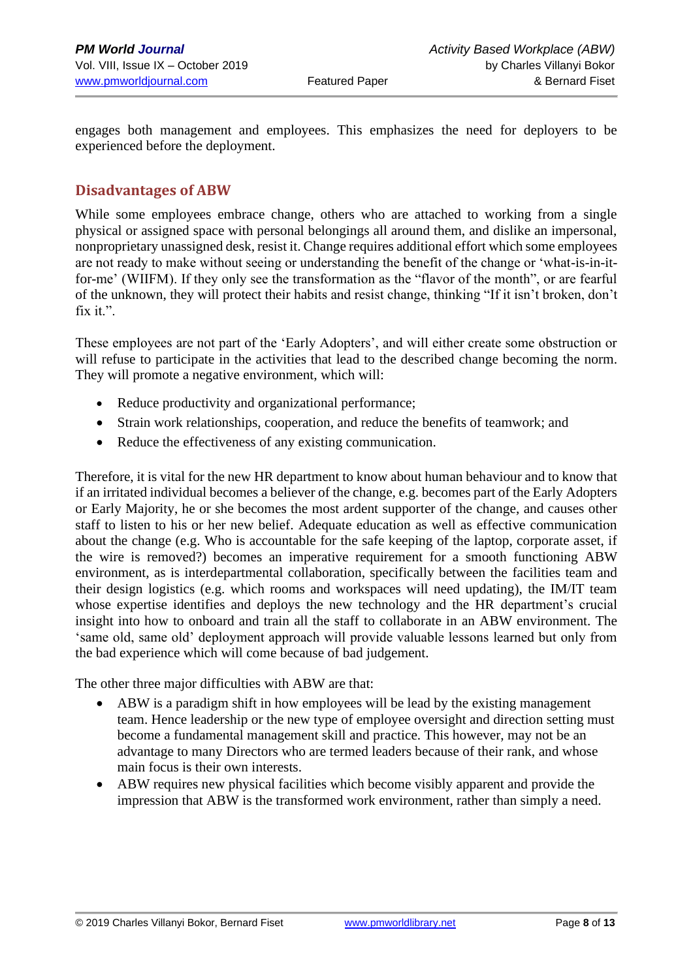engages both management and employees. This emphasizes the need for deployers to be experienced before the deployment.

### **Disadvantages of ABW**

While some employees embrace change, others who are attached to working from a single physical or assigned space with personal belongings all around them, and dislike an impersonal, nonproprietary unassigned desk, resist it. Change requires additional effort which some employees are not ready to make without seeing or understanding the benefit of the change or 'what-is-in-itfor-me' (WIIFM). If they only see the transformation as the "flavor of the month", or are fearful of the unknown, they will protect their habits and resist change, thinking "If it isn't broken, don't fix it.".

These employees are not part of the 'Early Adopters', and will either create some obstruction or will refuse to participate in the activities that lead to the described change becoming the norm. They will promote a negative environment, which will:

- Reduce productivity and organizational performance;
- Strain work relationships, cooperation, and reduce the benefits of teamwork; and
- Reduce the effectiveness of any existing communication.

Therefore, it is vital for the new HR department to know about human behaviour and to know that if an irritated individual becomes a believer of the change, e.g. becomes part of the Early Adopters or Early Majority, he or she becomes the most ardent supporter of the change, and causes other staff to listen to his or her new belief. Adequate education as well as effective communication about the change (e.g. Who is accountable for the safe keeping of the laptop, corporate asset, if the wire is removed?) becomes an imperative requirement for a smooth functioning ABW environment, as is interdepartmental collaboration, specifically between the [facilities team and](https://www.iofficecorp.com/blog/why-smart-workspaces-need-facilities-it-and-hr-collaboration)  [their design logistics \(e.g. which rooms and workspaces will need updating\), the IM/IT team](https://www.iofficecorp.com/blog/why-smart-workspaces-need-facilities-it-and-hr-collaboration)  [whose expertise identifies and deploys the new technology and the HR](https://www.iofficecorp.com/blog/why-smart-workspaces-need-facilities-it-and-hr-collaboration) department's crucial insight into how to onboard and train all the staff to collaborate in an ABW environment. The 'same old, same old' deployment approach will provide valuable lessons learned but only from the bad experience which will come because of bad judgement.

The other three major difficulties with ABW are that:

- ABW is a paradigm shift in how employees will be lead by the existing management team. Hence leadership or the new type of employee oversight and direction setting must become a fundamental management skill and practice. This however, may not be an advantage to many Directors who are termed leaders because of their rank, and whose main focus is their own interests.
- ABW requires new physical facilities which become visibly apparent and provide the impression that ABW is the transformed work environment, rather than simply a need.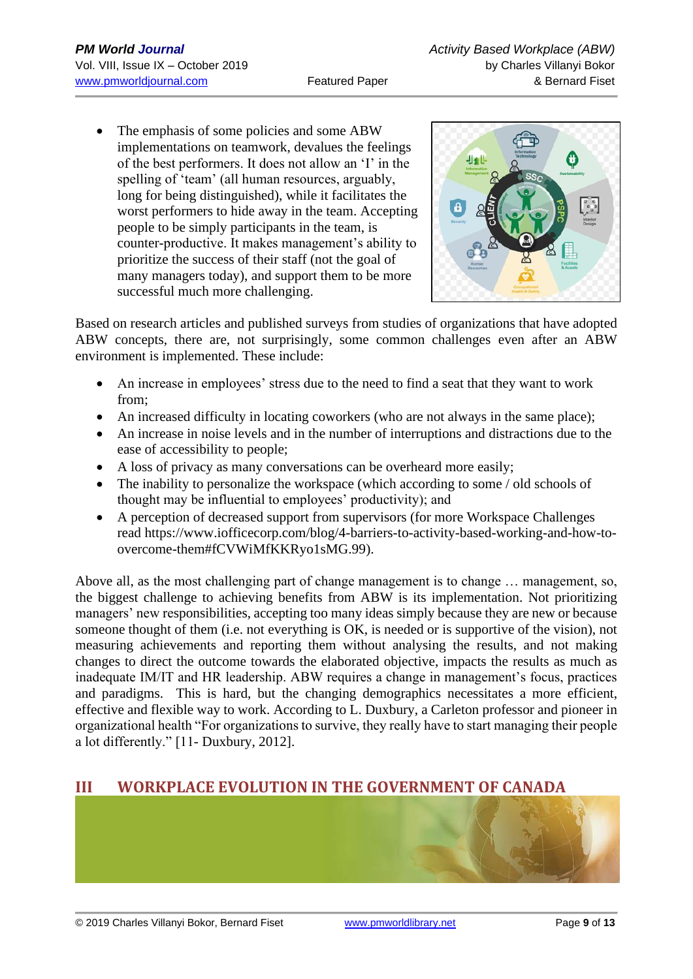The emphasis of some policies and some ABW implementations on teamwork, devalues the feelings of the best performers. It does not allow an 'I' in the spelling of 'team' (all human resources, arguably, long for being distinguished), while it facilitates the worst performers to hide away in the team. Accepting people to be simply participants in the team, is counter-productive. It makes management's ability to prioritize the success of their staff (not the goal of many managers today), and support them to be more successful much more challenging.



Based on research articles and published surveys from studies of organizations that have adopted ABW concepts, there are, not surprisingly, some common challenges even after an ABW environment is implemented. These include:

- An increase in employees' stress due to the need to find a seat that they want to work from;
- An increased difficulty in locating coworkers (who are not always in the same place);
- An increase in noise levels and in the number of interruptions and distractions due to the ease of accessibility to people;
- A loss of privacy as many conversations can be overheard more easily;
- The inability to personalize the workspace (which according to some / old schools of thought may be influential to employees' productivity); and
- A perception of decreased support from supervisors (for more Workspace Challenges read [https://www.iofficecorp.com/blog/4-barriers-to-activity-based-working-and-how-to](https://www.iofficecorp.com/blog/4-barriers-to-activity-based-working-and-how-to-overcome-them#fCVWiMfKKRyo1sMG.99)[overcome-them#fCVWiMfKKRyo1sMG.99\)](https://www.iofficecorp.com/blog/4-barriers-to-activity-based-working-and-how-to-overcome-them#fCVWiMfKKRyo1sMG.99).

Above all, as the most challenging part of change management is to change … management, so, the biggest challenge to achieving benefits from ABW is its implementation. Not prioritizing managers' new responsibilities, accepting too many ideas simply because they are new or because someone thought of them (i.e. not everything is OK, is needed or is supportive of the vision), not measuring achievements and reporting them without analysing the results, and not making changes to direct the outcome towards the elaborated objective, impacts the results as much as inadequate IM/IT and HR leadership. ABW requires a change in management's focus, practices and paradigms. This is hard, but the changing demographics necessitates a more efficient, effective and flexible way to work. According to L. Duxbury, a Carleton professor and pioneer in organizational health "For organizations to survive, they really have to start managing their people a lot differently." [11- Duxbury, 2012].

# **III WORKPLACE EVOLUTION IN THE GOVERNMENT OF CANADA**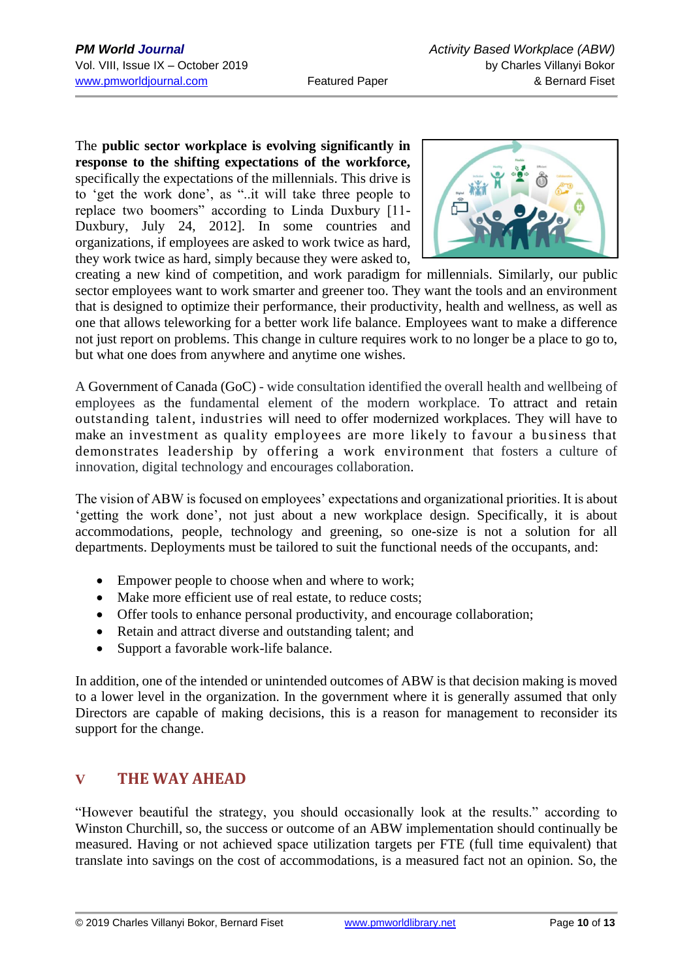The **public sector workplace is evolving significantly in response to the shifting expectations of the workforce,** specifically the expectations of the millennials. This drive is to 'get the work done', as "..it will take three people to replace two boomers" according to Linda Duxbury [11- Duxbury, July 24, 2012]. In some countries and organizations, if employees are asked to work twice as hard, they work twice as hard, simply because they were asked to,



creating a new kind of competition, and work paradigm for millennials. Similarly, our public sector employees want to work smarter and greener too. They want the tools and an environment that is designed to optimize their performance, their productivity, health and wellness, as well as one that allows teleworking for a better work life balance. Employees want to make a difference not just report on problems. This change in culture requires work to no longer be a place to go to, but what one does from anywhere and anytime one wishes.

A Government of Canada (GoC) - wide consultation identified the overall health and wellbeing of employees as the fundamental element of the modern workplace. To attract and retain outstanding talent, industries will need to offer modernized workplaces. They will have to make an investment as quality employees are more likely to favour a business that demonstrates leadership by offering a work environment that fosters a culture of innovation, digital technology and encourages collaboration.

The vision of ABW is focused on employees' expectations and organizational priorities. It is about 'getting the work done', not just about a new workplace design. Specifically, it is about accommodations, people, technology and greening, so one-size is not a solution for all departments. Deployments must be tailored to suit the functional needs of the occupants, and:

- Empower people to choose when and where to work;
- Make more efficient use of real estate, to reduce costs;
- Offer tools to enhance personal productivity, and encourage collaboration;
- Retain and attract diverse and outstanding talent; and
- Support a favorable work-life balance.

In addition, one of the intended or unintended outcomes of ABW is that decision making is moved to a lower level in the organization. In the government where it is generally assumed that only Directors are capable of making decisions, this is a reason for management to reconsider its support for the change.

# **V THE WAY AHEAD**

"However beautiful the strategy, you should occasionally look at the results." according to Winston Churchill, so, the success or outcome of an ABW implementation should continually be measured. Having or not achieved space utilization targets per FTE (full time equivalent) that translate into savings on the cost of accommodations, is a measured fact not an opinion. So, the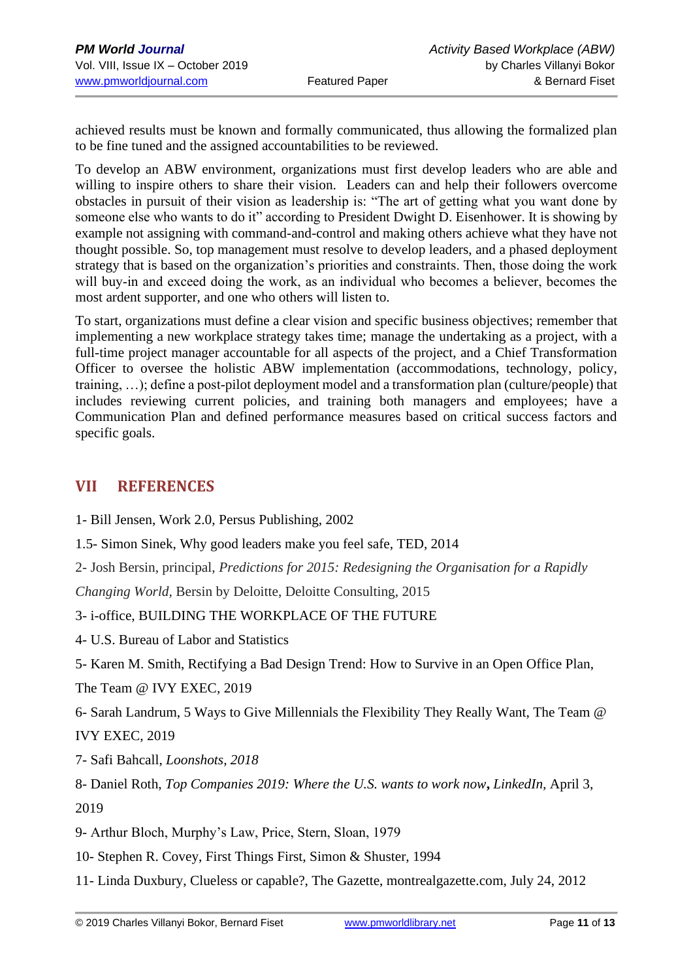achieved results must be known and formally communicated, thus allowing the formalized plan to be fine tuned and the assigned accountabilities to be reviewed.

To develop an ABW environment, organizations must first develop leaders who are able and willing to inspire others to share their vision. Leaders can and help their followers overcome obstacles in pursuit of their vision as leadership is: "The art of getting what you want done by someone else who wants to do it" according to President Dwight D. Eisenhower. It is showing by example not assigning with command-and-control and making others achieve what they have not thought possible. So, top management must resolve to develop leaders, and a phased deployment strategy that is based on the organization's priorities and constraints. Then, those doing the work will buy-in and exceed doing the work, as an individual who becomes a believer, becomes the most ardent supporter, and one who others will listen to.

To start, organizations must define a clear vision and specific business objectives; remember that implementing a new workplace strategy takes time; manage the undertaking as a project, with a full-time project manager accountable for all aspects of the project, and a Chief Transformation Officer to oversee the holistic ABW implementation (accommodations, technology, policy, training, …); define a post-pilot deployment model and a transformation plan (culture/people) that includes reviewing current policies, and training both managers and employees; have a Communication Plan and defined performance measures based on critical success factors and specific goals.

### **VII REFERENCES**

- 1- Bill Jensen, Work 2.0, Persus Publishing, 2002
- 1.5- Simon Sinek, Why good leaders make you feel safe, TED, 2014
- 2- Josh Bersin, principal, *Predictions for 2015: Redesigning the Organisation for a Rapidly*

*Changing World,* Bersin by Deloitte, Deloitte Consulting, 2015

- 3- i-office, BUILDING THE WORKPLACE OF THE FUTURE
- 4- U.S. Bureau of Labor and Statistics
- 5- Karen M. Smith, Rectifying a Bad Design Trend: How to Survive in an Open Office Plan,

The Team @ IVY EXEC, 2019

6- Sarah Landrum, 5 Ways to Give Millennials the Flexibility They Really Want, The Team @

IVY EXEC, 2019

7- Safi Bahcall, *Loonshots, 2018*

- 8- Daniel Roth, *Top Companies 2019: Where the U.S. wants to work now***,** *LinkedIn,* April 3, 2019
- 9- Arthur Bloch, Murphy's Law, Price, Stern, Sloan, 1979
- 10- Stephen R. Covey, First Things First, Simon & Shuster, 1994
- 11- Linda Duxbury, Clueless or capable?, The Gazette, montrealgazette.com, July 24, 2012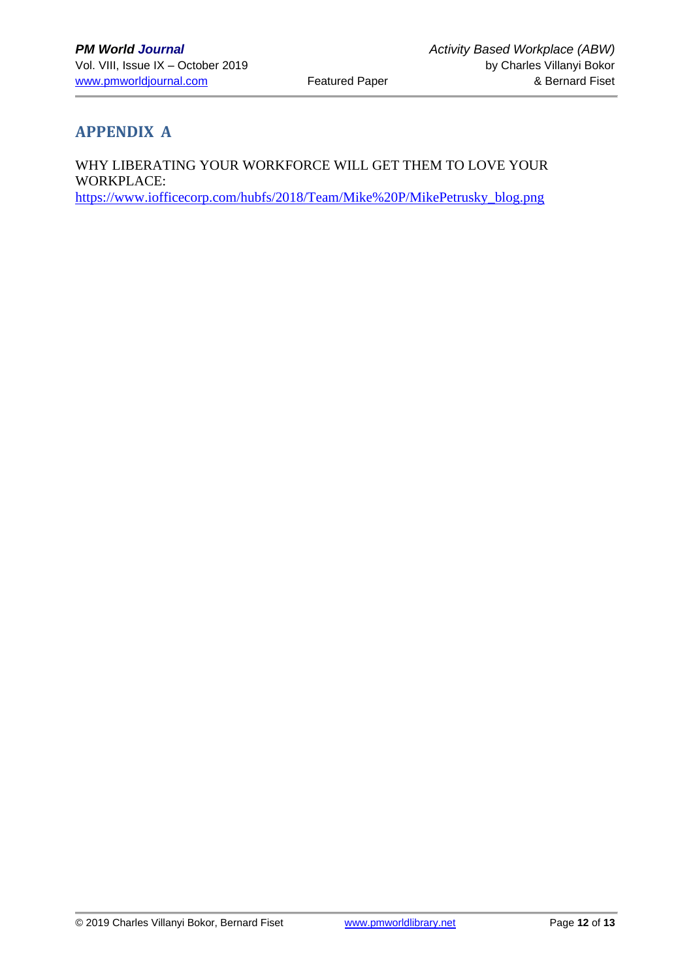# **APPENDIX A**

WHY LIBERATING YOUR WORKFORCE WILL GET THEM TO LOVE YOUR WORKPLACE: [https://www.iofficecorp.com/hubfs/2018/Team/Mike%20P/MikePetrusky\\_blog.png](https://www.iofficecorp.com/hubfs/2018/Team/Mike%20P/MikePetrusky_blog.png)